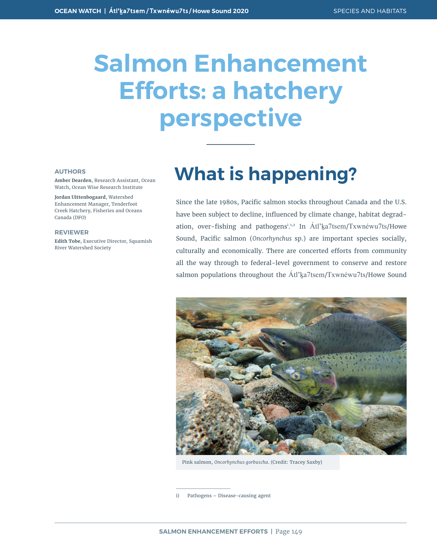# **Salmon Enhancement Efforts: a hatchery perspective**

#### **AUTHORS**

**Amber Dearden**, Research Assistant, Ocean Watch, Ocean Wise Research Institute

**Jordan Uittenbogaard**, Watershed Enhancement Manager, Tenderfoot Creek Hatchery, Fisheries and Oceans Canada (DFO)

#### **REVIEWER**

**Edith Tobe**, Executive Director, Squamish River Watershed Society

# **What is happening?**

Since the late 1980s, Pacific salmon stocks throughout Canada and the U.S. have been subject to decline, influenced by climate change, habitat degradation, over-fishing and pathogens<sup>i.1,2</sup> In Atl'<u>k</u>a7tsem/Txwnéwu7ts/Howe Sound, Pacific salmon (*Oncorhynchus* sp.) are important species socially, culturally and economically. There are concerted efforts from community all the way through to federal-level government to conserve and restore salmon populations throughout the Átl'ka7tsem/Txwnéwu7ts/Howe Sound



Pink salmon, *Oncorhynchus gorbuscha*. (Credit: Tracey Saxby)

i) Pathogens – Disease-causing agent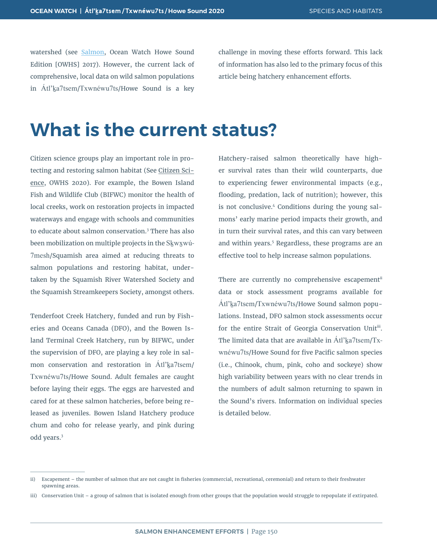watershed (see [Salmon](https://oceanwatch.ca/howesound/wp-content/uploads/sites/2/2016/12/OceanWatch-HoweSoundReport-Salmon.pdf), Ocean Watch Howe Sound Edition [OWHS] 2017). However, the current lack of comprehensive, local data on wild salmon populations in Atl'ka7tsem/Txwnéwu7ts/Howe Sound is a key challenge in moving these efforts forward. This lack of information has also led to the primary focus of this article being hatchery enhancement efforts.

# **What is the current status?**

Citizen science groups play an important role in protecting and restoring salmon habitat (See Citizen Science, OWHS 2020). For example, the Bowen Island Fish and Wildlife Club (BIFWC) monitor the health of local creeks, work on restoration projects in impacted waterways and engage with schools and communities to educate about salmon conservation.<sup>3</sup> There has also been mobilization on multiple projects in the Skwxwú-7mesh/Squamish area aimed at reducing threats to salmon populations and restoring habitat, undertaken by the Squamish River Watershed Society and the Squamish Streamkeepers Society, amongst others.

Tenderfoot Creek Hatchery, funded and run by Fisheries and Oceans Canada (DFO), and the Bowen Island Terminal Creek Hatchery, run by BIFWC, under the supervision of DFO, are playing a key role in salmon conservation and restoration in Átl'ka7tsem/ Txwnéwu7ts/Howe Sound. Adult females are caught before laying their eggs. The eggs are harvested and cared for at these salmon hatcheries, before being released as juveniles. Bowen Island Hatchery produce chum and coho for release yearly, and pink during odd years.<sup>3</sup>

Hatchery-raised salmon theoretically have higher survival rates than their wild counterparts, due to experiencing fewer environmental impacts (e.g., flooding, predation, lack of nutrition); however, this is not conclusive.<sup>4</sup> Conditions during the young salmons' early marine period impacts their growth, and in turn their survival rates, and this can vary between and within years.<sup>5</sup> Regardless, these programs are an effective tool to help increase salmon populations.

There are currently no comprehensive escapement<sup>ii</sup> data or stock assessment programs available for Átl'ḵa7tsem/Txwnéwu7ts/Howe Sound salmon populations. Instead, DFO salmon stock assessments occur for the entire Strait of Georgia Conservation Unitiii. The limited data that are available in Átl'ka7tsem/Txwnéwu7ts/Howe Sound for five Pacific salmon species (i.e., Chinook, chum, pink, coho and sockeye) show high variability between years with no clear trends in the numbers of adult salmon returning to spawn in the Sound's rivers. Information on individual species is detailed below.

iii) Conservation Unit – a group of salmon that is isolated enough from other groups that the population would struggle to repopulate if extirpated.

ii) Escapement – the number of salmon that are not caught in fisheries (commercial, recreational, ceremonial) and return to their freshwater spawning areas.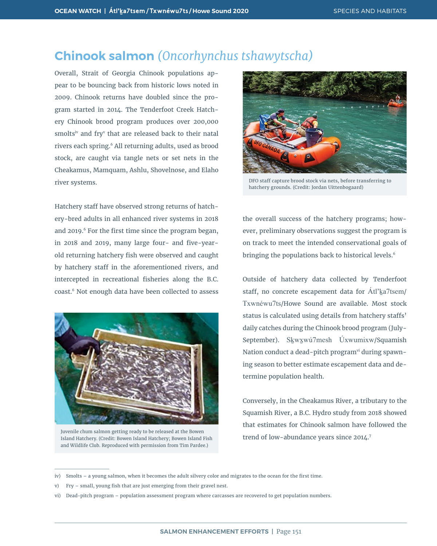### **Chinook salmon** *(Oncorhynchus tshawytscha)*

Overall, Strait of Georgia Chinook populations appear to be bouncing back from historic lows noted in 2009. Chinook returns have doubled since the program started in 2014. The Tenderfoot Creek Hatchery Chinook brood program produces over 200,000 smolts<sup>iv</sup> and fry<sup>v</sup> that are released back to their natal rivers each spring.6 All returning adults, used as brood stock, are caught via tangle nets or set nets in the Cheakamus, Mamquam, Ashlu, Shovelnose, and Elaho river systems.

Hatchery staff have observed strong returns of hatchery-bred adults in all enhanced river systems in 2018 and 2019.<sup>6</sup> For the first time since the program began, in 2018 and 2019, many large four- and five-yearold returning hatchery fish were observed and caught by hatchery staff in the aforementioned rivers, and intercepted in recreational fisheries along the B.C. coast.<sup>6</sup> Not enough data have been collected to assess



Juvenile chum salmon getting ready to be released at the Bowen Island Hatchery. (Credit: Bowen Island Hatchery; Bowen Island Fish and Wildlife Club. Reproduced with permission from Tim Pardee.)



DFO staff capture brood stock via nets, before transferring to hatchery grounds. (Credit: Jordan Uittenbogaard)

the overall success of the hatchery programs; however, preliminary observations suggest the program is on track to meet the intended conservational goals of bringing the populations back to historical levels.<sup>6</sup>

Outside of hatchery data collected by Tenderfoot staff, no concrete escapement data for Atl'ka7tsem/ Txwnéwu7ts/Howe Sound are available. Most stock status is calculated using details from hatchery staffs' daily catches during the Chinook brood program (July-September). Skwxwú7mesh Úxwumixw/Squamish Nation conduct a dead-pitch program<sup>vi</sup> during spawning season to better estimate escapement data and determine population health.

Conversely, in the Cheakamus River, a tributary to the Squamish River, a B.C. Hydro study from 2018 showed that estimates for Chinook salmon have followed the trend of low-abundance years since 2014.<sup>7</sup>

iv) Smolts – a young salmon, when it becomes the adult silvery color and migrates to the ocean for the first time.

v) Fry – small, young fish that are just emerging from their gravel nest.

vi) Dead-pitch program – population assessment program where carcasses are recovered to get population numbers.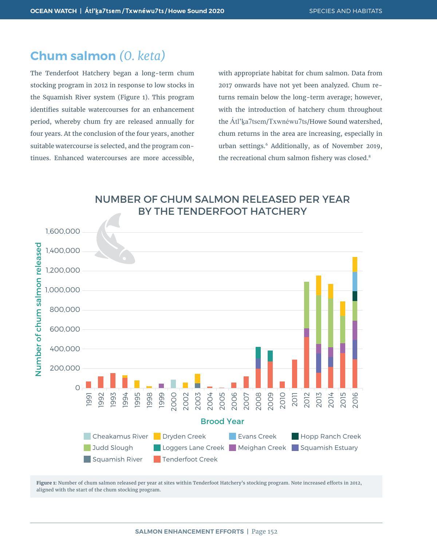#### **Chum salmon** *(O. keta)*

The Tenderfoot Hatchery began a long-term chum stocking program in 2012 in response to low stocks in the Squamish River system (Figure 1). This program identifies suitable watercourses for an enhancement period, whereby chum fry are released annually for four years. At the conclusion of the four years, another suitable watercourse is selected, and the program continues. Enhanced watercourses are more accessible, with appropriate habitat for chum salmon. Data from 2017 onwards have not yet been analyzed. Chum returns remain below the long-term average; however, with the introduction of hatchery chum throughout the Atl'ka7tsem/Txwnéwu7ts/Howe Sound watershed, chum returns in the area are increasing, especially in urban settings.6 Additionally, as of November 2019, the recreational chum salmon fishery was closed.<sup>8</sup>





**Figure 1:** Number of chum salmon released per year at sites within Tenderfoot Hatchery's stocking program. Note increased efforts in 2012,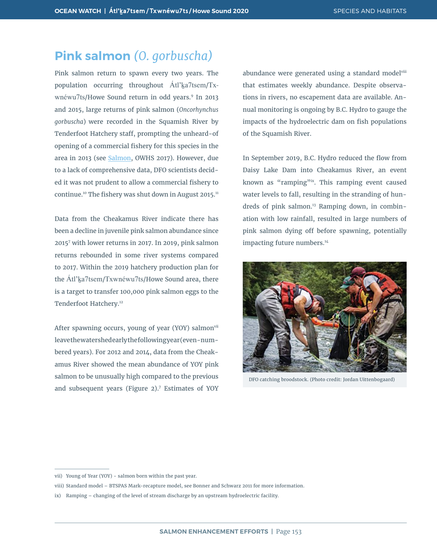#### **Pink salmon** *(O. gorbuscha)*

Pink salmon return to spawn every two years. The population occurring throughout Atl'ka7tsem/Txwnéwu7ts/Howe Sound return in odd years.<sup>9</sup> In 2013 and 2015, large returns of pink salmon (*Oncorhynchus gorbuscha*) were recorded in the Squamish River by Tenderfoot Hatchery staff, prompting the unheard-of opening of a commercial fishery for this species in the area in 2013 (see [Salmon,](https://oceanwatch.ca/howesound/wp-content/uploads/sites/2/2016/12/OceanWatch-HoweSoundReport-Salmon.pdf) OWHS 2017). However, due to a lack of comprehensive data, DFO scientists decided it was not prudent to allow a commercial fishery to continue.<sup>10</sup> The fishery was shut down in August 2015.<sup>11</sup>

Data from the Cheakamus River indicate there has been a decline in juvenile pink salmon abundance since 20157 with lower returns in 2017. In 2019, pink salmon returns rebounded in some river systems compared to 2017. Within the 2019 hatchery production plan for the Átl'ka7tsem/Txwnéwu7ts/Howe Sound area, there is a target to transfer 100,000 pink salmon eggs to the Tenderfoot Hatchery.<sup>12</sup>

After spawning occurs, young of year (YOY) salmonvii leave the watershed early the following year (even-numbered years). For 2012 and 2014, data from the Cheakamus River showed the mean abundance of YOY pink salmon to be unusually high compared to the previous and subsequent years (Figure 2).<sup>7</sup> Estimates of YOY

abundance were generated using a standard modelviii that estimates weekly abundance. Despite observations in rivers, no escapement data are available. Annual monitoring is ongoing by B.C. Hydro to gauge the impacts of the hydroelectric dam on fish populations of the Squamish River.

In September 2019, B.C. Hydro reduced the flow from Daisy Lake Dam into Cheakamus River, an event known as "ramping"ix. This ramping event caused water levels to fall, resulting in the stranding of hundreds of pink salmon.<sup>13</sup> Ramping down, in combination with low rainfall, resulted in large numbers of pink salmon dying off before spawning, potentially impacting future numbers.<sup>14</sup>



DFO catching broodstock. (Photo credit: Jordan Uittenbogaard)

vii) Young of Year (YOY) - salmon born within the past year.

viii) Standard model – BTSPAS Mark-recapture model, see Bonner and Schwarz 2011 for more information.

ix) Ramping – changing of the level of stream discharge by an upstream hydroelectric facility.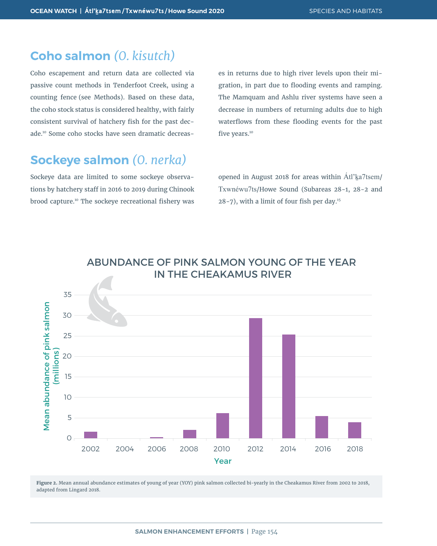#### **Coho salmon** *(O. kisutch)*

Coho escapement and return data are collected via passive count methods in Tenderfoot Creek, using a counting fence (see Methods). Based on these data, the coho stock status is considered healthy, with fairly consistent survival of hatchery fish for the past decade.10 Some coho stocks have seen dramatic decreas-

### **Sockeye salmon** *(O. nerka)*

Sockeye data are limited to some sockeye observations by hatchery staff in 2016 to 2019 during Chinook brood capture.10 The sockeye recreational fishery was es in returns due to high river levels upon their migration, in part due to flooding events and ramping. The Mamquam and Ashlu river systems have seen a decrease in numbers of returning adults due to high waterflows from these flooding events for the past five years.<sup>10</sup>

opened in August 2018 for areas within Atl'ka7tsem/ Txwnéwu7ts/Howe Sound (Subareas 28-1, 28-2 and 28-7), with a limit of four fish per day.<sup>15</sup>



**Figure 2.** Mean annual abundance estimates of young of year (YOY) pink salmon collected bi-yearly in the Cheakamus River from 2002 to 2018,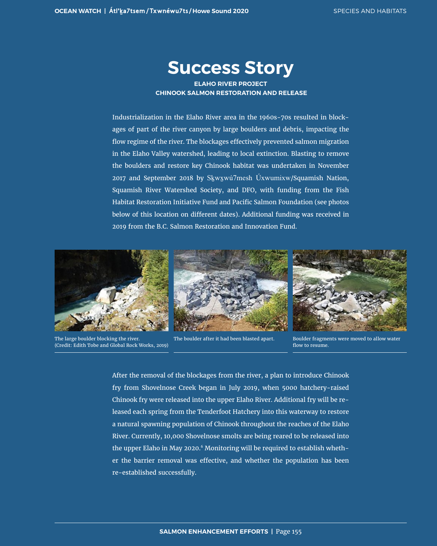### **Success Story**

**ELAHO RIVER PROJECT CHINOOK SALMON RESTORATION AND RELEASE**

Industrialization in the Elaho River area in the 1960s-70s resulted in blockages of part of the river canyon by large boulders and debris, impacting the flow regime of the river. The blockages effectively prevented salmon migration in the Elaho Valley watershed, leading to local extinction. Blasting to remove the boulders and restore key Chinook habitat was undertaken in November 2017 and September 2018 by Skwxwú7mesh Úxwumixw/Squamish Nation, Squamish River Watershed Society, and DFO, with funding from the Fish Habitat Restoration Initiative Fund and Pacific Salmon Foundation (see photos below of this location on different dates). Additional funding was received in 2019 from the B.C. Salmon Restoration and Innovation Fund.



The large boulder blocking the river. (Credit: Edith Tobe and Global Rock Works, 2019)



The boulder after it had been blasted apart. Boulder fragments were moved to allow water



flow to resume.

After the removal of the blockages from the river, a plan to introduce Chinook fry from Shovelnose Creek began in July 2019, when 5000 hatchery-raised Chinook fry were released into the upper Elaho River. Additional fry will be released each spring from the Tenderfoot Hatchery into this waterway to restore a natural spawning population of Chinook throughout the reaches of the Elaho River. Currently, 10,000 Shovelnose smolts are being reared to be released into the upper Elaho in May 2020.<sup>6</sup> Monitoring will be required to establish whether the barrier removal was effective, and whether the population has been re-established successfully.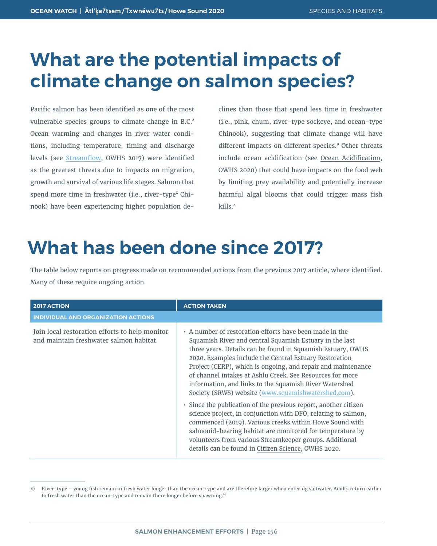# **What are the potential impacts of climate change on salmon species?**

Pacific salmon has been identified as one of the most vulnerable species groups to climate change in B.C.<sup>2</sup> Ocean warming and changes in river water conditions, including temperature, timing and discharge levels (see [Streamflow](https://oceanwatch.ca/howesound/wp-content/uploads/sites/2/2016/12/OceanWatch-HoweSoundReport-Streamflows.pdf), OWHS 2017) were identified as the greatest threats due to impacts on migration, growth and survival of various life stages. Salmon that spend more time in freshwater (i.e., river-type<sup>x</sup> Chinook) have been experiencing higher population de-

clines than those that spend less time in freshwater (i.e., pink, chum, river-type sockeye, and ocean-type Chinook), suggesting that climate change will have different impacts on different species.<sup>9</sup> Other threats include ocean acidification (see Ocean Acidification, OWHS 2020) that could have impacts on the food web by limiting prey availability and potentially increase harmful algal blooms that could trigger mass fish kills.<sup>2</sup>

# **What has been done since 2017?**

The table below reports on progress made on recommended actions from the previous 2017 article, where identified. Many of these require ongoing action.

| <b>2017 ACTION</b>                                                                        | <b>ACTION TAKEN</b>                                                                                                                                                                                                                                                                                                                                                                                                                                                                                                                                                                                                                                                                                                                                                                                                                                                     |
|-------------------------------------------------------------------------------------------|-------------------------------------------------------------------------------------------------------------------------------------------------------------------------------------------------------------------------------------------------------------------------------------------------------------------------------------------------------------------------------------------------------------------------------------------------------------------------------------------------------------------------------------------------------------------------------------------------------------------------------------------------------------------------------------------------------------------------------------------------------------------------------------------------------------------------------------------------------------------------|
| <b>INDIVIDUAL AND ORGANIZATION ACTIONS</b>                                                |                                                                                                                                                                                                                                                                                                                                                                                                                                                                                                                                                                                                                                                                                                                                                                                                                                                                         |
| Join local restoration efforts to help monitor<br>and maintain freshwater salmon habitat. | • A number of restoration efforts have been made in the<br>Squamish River and central Squamish Estuary in the last<br>three years. Details can be found in Squamish Estuary, OWHS<br>2020. Examples include the Central Estuary Restoration<br>Project (CERP), which is ongoing, and repair and maintenance<br>of channel intakes at Ashlu Creek. See Resources for more<br>information, and links to the Squamish River Watershed<br>Society (SRWS) website (www.squamishwatershed.com).<br>· Since the publication of the previous report, another citizen<br>science project, in conjunction with DFO, relating to salmon,<br>commenced (2019). Various creeks within Howe Sound with<br>salmonid-bearing habitat are monitored for temperature by<br>volunteers from various Streamkeeper groups. Additional<br>details can be found in Citizen Science, OWHS 2020. |

x) River-type – young fish remain in fresh water longer than the ocean-type and are therefore larger when entering saltwater. Adults return earlier to fresh water than the ocean-type and remain there longer before spawning.<sup>14</sup>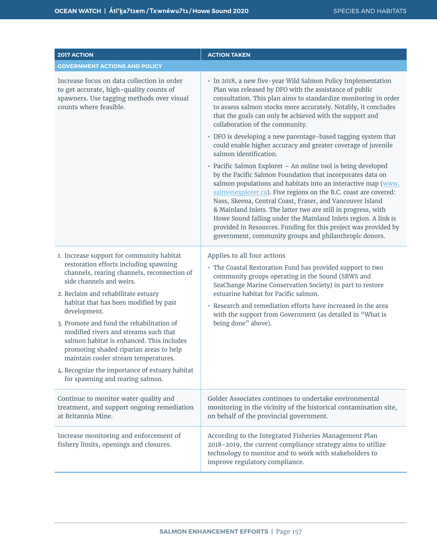| 2017 ACTION                                                                                                                                                                                                                                                                                                                                                                                                                                                                                                                                                                 | <b>ACTION TAKEN</b>                                                                                                                                                                                                                                                                                                                                                                                                                                                                                                                                                                          |
|-----------------------------------------------------------------------------------------------------------------------------------------------------------------------------------------------------------------------------------------------------------------------------------------------------------------------------------------------------------------------------------------------------------------------------------------------------------------------------------------------------------------------------------------------------------------------------|----------------------------------------------------------------------------------------------------------------------------------------------------------------------------------------------------------------------------------------------------------------------------------------------------------------------------------------------------------------------------------------------------------------------------------------------------------------------------------------------------------------------------------------------------------------------------------------------|
| <b>GOVERNMENT ACTIONS AND POLICY</b>                                                                                                                                                                                                                                                                                                                                                                                                                                                                                                                                        |                                                                                                                                                                                                                                                                                                                                                                                                                                                                                                                                                                                              |
| Increase focus on data collection in order<br>to get accurate, high-quality counts of<br>spawners. Use tagging methods over visual<br>counts where feasible.                                                                                                                                                                                                                                                                                                                                                                                                                | · In 2018, a new five-year Wild Salmon Policy Implementation<br>Plan was released by DFO with the assistance of public<br>consultation. This plan aims to standardize monitoring in order<br>to assess salmon stocks more accurately. Notably, it concludes<br>that the goals can only be achieved with the support and<br>collaboration of the community.                                                                                                                                                                                                                                   |
|                                                                                                                                                                                                                                                                                                                                                                                                                                                                                                                                                                             | · DFO is developing a new parentage-based tagging system that<br>could enable higher accuracy and greater coverage of juvenile<br>salmon identification.                                                                                                                                                                                                                                                                                                                                                                                                                                     |
|                                                                                                                                                                                                                                                                                                                                                                                                                                                                                                                                                                             | · Pacific Salmon Explorer - An online tool is being developed<br>by the Pacific Salmon Foundation that incorporates data on<br>salmon populations and habitats into an interactive map (www.<br>salmonexplorer.ca). Five regions on the B.C. coast are covered:<br>Nass, Skeena, Central Coast, Fraser, and Vancouver Island<br>& Mainland Inlets. The latter two are still in progress, with<br>Howe Sound falling under the Mainland Inlets region. A link is<br>provided in Resources. Funding for this project was provided by<br>government, community groups and philanthropic donors. |
| 1. Increase support for community habitat<br>restoration efforts including spawning<br>channels, rearing channels, reconnection of<br>side channels and weirs.<br>2. Reclaim and rehabilitate estuary<br>habitat that has been modified by past<br>development.<br>3. Promote and fund the rehabilitation of<br>modified rivers and streams such that<br>salmon habitat is enhanced. This includes<br>promoting shaded riparian areas to help<br>maintain cooler stream temperatures.<br>4. Recognize the importance of estuary habitat<br>for spawning and rearing salmon. | Applies to all four actions<br>· The Coastal Restoration Fund has provided support to two<br>community groups operating in the Sound (SRWS and<br>SeaChange Marine Conservation Society) in part to restore<br>estuarine habitat for Pacific salmon.<br>• Research and remediation efforts have increased in the area<br>with the support from Government (as detailed in "What is<br>being done" above).                                                                                                                                                                                    |
| Continue to monitor water quality and<br>treatment, and support ongoing remediation<br>at Britannia Mine.                                                                                                                                                                                                                                                                                                                                                                                                                                                                   | Golder Associates continues to undertake environmental<br>monitoring in the vicinity of the historical contamination site,<br>on behalf of the provincial government.                                                                                                                                                                                                                                                                                                                                                                                                                        |
| Increase monitoring and enforcement of<br>fishery limits, openings and closures.                                                                                                                                                                                                                                                                                                                                                                                                                                                                                            | According to the Integrated Fisheries Management Plan<br>2018-2019, the current compliance strategy aims to utilize<br>technology to monitor and to work with stakeholders to<br>improve regulatory compliance.                                                                                                                                                                                                                                                                                                                                                                              |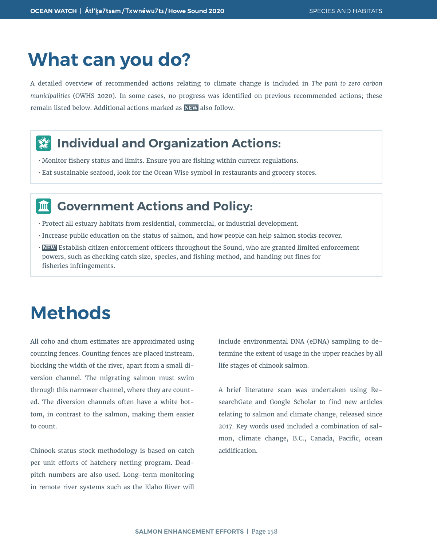# **What can you do?**

A detailed overview of recommended actions relating to climate change is included in *The path to zero carbon municipalities* (OWHS 2020). In some cases, no progress was identified on previous recommended actions; these remain listed below. Additional actions marked as **NEW** also follow.

#### **Individual and Organization Actions:**  $\frac{d}{dx}$

- Monitor fishery status and limits. Ensure you are fishing within current regulations.
- Eat sustainable seafood, look for the Ocean Wise symbol in restaurants and grocery stores.

#### **Government Actions and Policy:** 而

- Protect all estuary habitats from residential, commercial, or industrial development.
- Increase public education on the status of salmon, and how people can help salmon stocks recover.
- **NEW** Establish citizen enforcement officers throughout the Sound, who are granted limited enforcement powers, such as checking catch size, species, and fishing method, and handing out fines for fisheries infringements.

# **Methods**

All coho and chum estimates are approximated using counting fences. Counting fences are placed instream, blocking the width of the river, apart from a small diversion channel. The migrating salmon must swim through this narrower channel, where they are counted. The diversion channels often have a white bottom, in contrast to the salmon, making them easier to count.

Chinook status stock methodology is based on catch per unit efforts of hatchery netting program. Deadpitch numbers are also used. Long-term monitoring in remote river systems such as the Elaho River will

include environmental DNA (eDNA) sampling to determine the extent of usage in the upper reaches by all life stages of chinook salmon.

A brief literature scan was undertaken using ResearchGate and Google Scholar to find new articles relating to salmon and climate change, released since 2017. Key words used included a combination of salmon, climate change, B.C., Canada, Pacific, ocean acidification.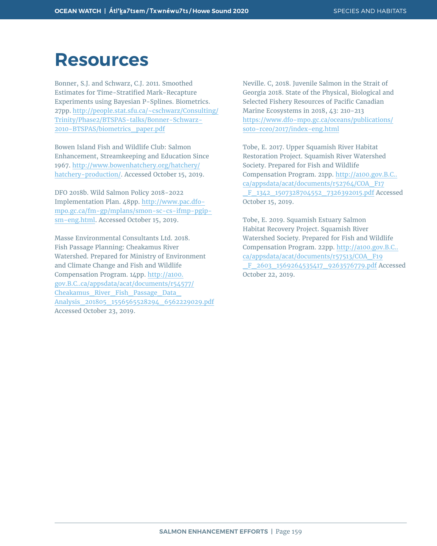### **Resources**

Bonner, S.J. and Schwarz, C.J. 2011. Smoothed Estimates for Time-Stratified Mark-Recapture Experiments using Bayesian P-Splines. Biometrics. 27pp. [http://people.stat.sfu.ca/~cschwarz/Consulting/](http://people.stat.sfu.ca/~cschwarz/Consulting/Trinity/Phase2/BTSPAS-talks/Bonner-Schwarz-2010-BTSPAS/biometrics_paper.pdf) [Trinity/Phase2/BTSPAS-talks/Bonner-Schwarz-](http://people.stat.sfu.ca/~cschwarz/Consulting/Trinity/Phase2/BTSPAS-talks/Bonner-Schwarz-2010-BTSPAS/biometrics_paper.pdf)[2010-BTSPAS/biometrics\\_paper.pdf](http://people.stat.sfu.ca/~cschwarz/Consulting/Trinity/Phase2/BTSPAS-talks/Bonner-Schwarz-2010-BTSPAS/biometrics_paper.pdf)

Bowen Island Fish and Wildlife Club: Salmon Enhancement, Streamkeeping and Education Since 1967. [http://www.bowenhatchery.org/hatchery/](http://www.bowenhatchery.org/hatchery/hatchery-production/) [hatchery-production/](http://www.bowenhatchery.org/hatchery/hatchery-production/). Accessed October 15, 2019.

DFO 2018b. Wild Salmon Policy 2018-2022 Implementation Plan. 48pp. [http://www.pac.dfo](http://www.pac.dfo-mpo.gc.ca/fm-gp/mplans/smon-sc-cs-ifmp-pgip-sm-eng.html)[mpo.gc.ca/fm-gp/mplans/smon-sc-cs-ifmp-pgip](http://www.pac.dfo-mpo.gc.ca/fm-gp/mplans/smon-sc-cs-ifmp-pgip-sm-eng.html)[sm-eng.html](http://www.pac.dfo-mpo.gc.ca/fm-gp/mplans/smon-sc-cs-ifmp-pgip-sm-eng.html). Accessed October 15, 2019.

Masse Environmental Consultants Ltd. 2018. Fish Passage Planning: Cheakamus River Watershed. Prepared for Ministry of Environment and Climate Change and Fish and Wildlife Compensation Program. 14pp. [http://a100.](http://a100.gov.bc.ca/appsdata/acat/documents/r54577/Cheakamus_River_Fish_Passage_Data_Analysis_201805_1556565528294_6562229029.pdf) [gov.B.C..ca/appsdata/acat/documents/r54577/](http://a100.gov.bc.ca/appsdata/acat/documents/r54577/Cheakamus_River_Fish_Passage_Data_Analysis_201805_1556565528294_6562229029.pdf) [Cheakamus\\_River\\_Fish\\_Passage\\_Data\\_](http://a100.gov.bc.ca/appsdata/acat/documents/r54577/Cheakamus_River_Fish_Passage_Data_Analysis_201805_1556565528294_6562229029.pdf) [Analysis\\_201805\\_1556565528294\\_6562229029.pdf](http://a100.gov.bc.ca/appsdata/acat/documents/r54577/Cheakamus_River_Fish_Passage_Data_Analysis_201805_1556565528294_6562229029.pdf) Accessed October 23, 2019.

Neville. C, 2018. Juvenile Salmon in the Strait of Georgia 2018. State of the Physical, Biological and Selected Fishery Resources of Pacific Canadian Marine Ecosystems in 2018, 43: 210-213 [https://www.dfo-mpo.gc.ca/oceans/publications/](https://www.dfo-mpo.gc.ca/oceans/publications/soto-rceo/2017/index-eng.html) [soto-rceo/2017/index-eng.html](https://www.dfo-mpo.gc.ca/oceans/publications/soto-rceo/2017/index-eng.html)

Tobe, E. 2017. Upper Squamish River Habitat Restoration Project. Squamish River Watershed Society. Prepared for Fish and Wildlife Compensation Program. 21pp. [http://a100.gov.B.C..](http://a100.gov.bc.ca/appsdata/acat/documents/r52764/COA_F17_F_1342_1507328704552_7326392015.pdf) [ca/appsdata/acat/documents/r52764/COA\\_F17](http://a100.gov.bc.ca/appsdata/acat/documents/r52764/COA_F17_F_1342_1507328704552_7326392015.pdf) [\\_F\\_1342\\_1507328704552\\_7326392015.pdf](http://a100.gov.bc.ca/appsdata/acat/documents/r52764/COA_F17_F_1342_1507328704552_7326392015.pdf) Accessed October 15, 2019.

Tobe, E. 2019. Squamish Estuary Salmon Habitat Recovery Project. Squamish River Watershed Society. Prepared for Fish and Wildlife Compensation Program. 22pp. [http://a100.gov.B.C..](http://a100.gov.bc.ca/appsdata/acat/documents/r57513/COA_F19_F_2603_1569264535417_9263576779.pdf) [ca/appsdata/acat/documents/r57513/COA\\_F19](http://a100.gov.bc.ca/appsdata/acat/documents/r57513/COA_F19_F_2603_1569264535417_9263576779.pdf) [\\_F\\_2603\\_1569264535417\\_9263576779.pdf](http://a100.gov.bc.ca/appsdata/acat/documents/r57513/COA_F19_F_2603_1569264535417_9263576779.pdf) Accessed October 22, 2019.